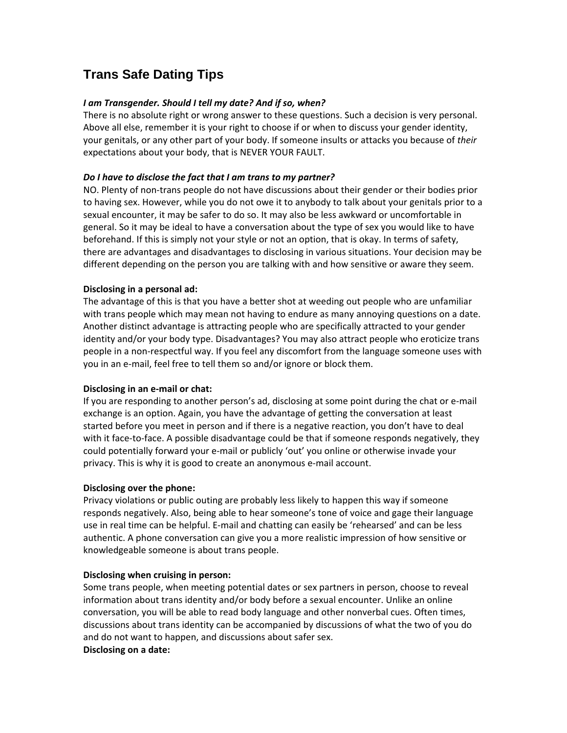# **Trans Safe Dating Tips**

## *I am Transgender. Should I tell my date? And if so, when?*

There is no absolute right or wrong answer to these questions. Such a decision is very personal. Above all else, remember it is your right to choose if or when to discuss your gender identity, your genitals, or any other part of your body. If someone insults or attacks you because of *their* expectations about your body, that is NEVER YOUR FAULT.

### *Do I have to disclose the fact that I am trans to my partner?*

NO. Plenty of non‐trans people do not have discussions about their gender or their bodies prior to having sex. However, while you do not owe it to anybody to talk about your genitals prior to a sexual encounter, it may be safer to do so. It may also be less awkward or uncomfortable in general. So it may be ideal to have a conversation about the type of sex you would like to have beforehand. If this is simply not your style or not an option, that is okay. In terms of safety, there are advantages and disadvantages to disclosing in various situations. Your decision may be different depending on the person you are talking with and how sensitive or aware they seem.

### **Disclosing in a personal ad:**

The advantage of this is that you have a better shot at weeding out people who are unfamiliar with trans people which may mean not having to endure as many annoying questions on a date. Another distinct advantage is attracting people who are specifically attracted to your gender identity and/or your body type. Disadvantages? You may also attract people who eroticize trans people in a non-respectful way. If you feel any discomfort from the language someone uses with you in an e‐mail, feel free to tell them so and/or ignore or block them.

### **Disclosing in an e‐mail or chat:**

If you are responding to another person's ad, disclosing at some point during the chat or e‐mail exchange is an option. Again, you have the advantage of getting the conversation at least started before you meet in person and if there is a negative reaction, you don't have to deal with it face-to-face. A possible disadvantage could be that if someone responds negatively, they could potentially forward your e‐mail or publicly 'out' you online or otherwise invade your privacy. This is why it is good to create an anonymous e-mail account.

### **Disclosing over the phone:**

Privacy violations or public outing are probably less likely to happen this way if someone responds negatively. Also, being able to hear someone's tone of voice and gage their language use in real time can be helpful. E‐mail and chatting can easily be 'rehearsed' and can be less authentic. A phone conversation can give you a more realistic impression of how sensitive or knowledgeable someone is about trans people.

### **Disclosing when cruising in person:**

Some trans people, when meeting potential dates or sex partners in person, choose to reveal information about trans identity and/or body before a sexual encounter. Unlike an online conversation, you will be able to read body language and other nonverbal cues. Often times, discussions about trans identity can be accompanied by discussions of what the two of you do and do not want to happen, and discussions about safer sex. **Disclosing on a date:**